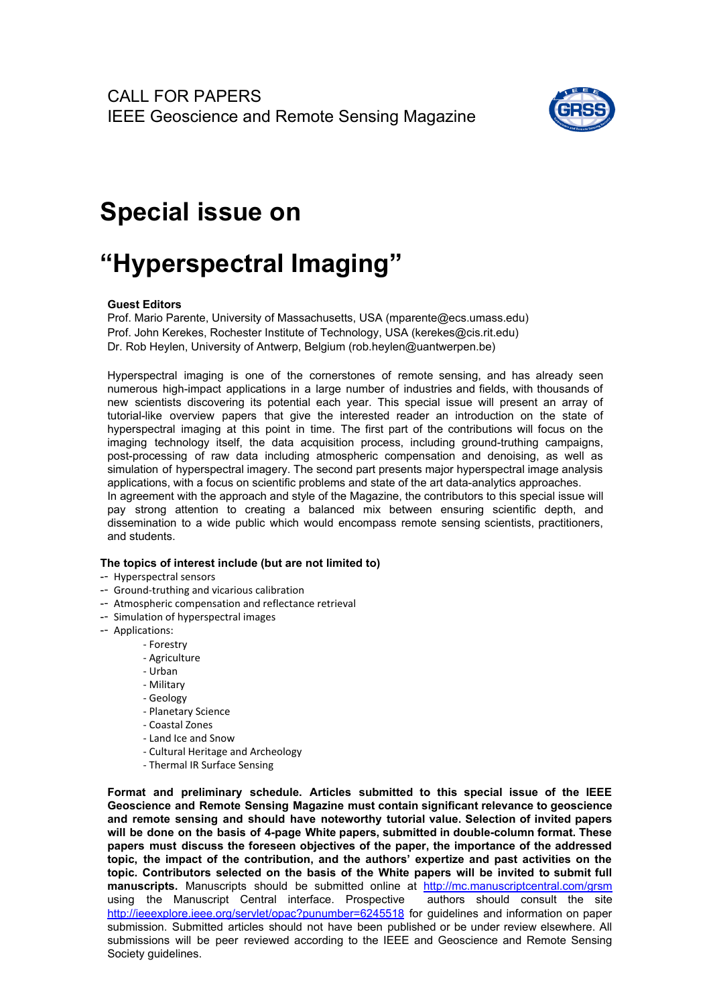

## **Special issue on**

## **"Hyperspectral Imaging"**

## **Guest Editors**

Prof. Mario Parente, University of Massachusetts, USA (mparente@ecs.umass.edu) Prof. John Kerekes, Rochester Institute of Technology, USA (kerekes@cis.rit.edu) Dr. Rob Heylen, University of Antwerp, Belgium (rob.heylen@uantwerpen.be)

Hyperspectral imaging is one of the cornerstones of remote sensing, and has already seen numerous high-impact applications in a large number of industries and fields, with thousands of new scientists discovering its potential each year. This special issue will present an array of tutorial-like overview papers that give the interested reader an introduction on the state of hyperspectral imaging at this point in time. The first part of the contributions will focus on the imaging technology itself, the data acquisition process, including ground-truthing campaigns, post-processing of raw data including atmospheric compensation and denoising, as well as simulation of hyperspectral imagery. The second part presents major hyperspectral image analysis applications, with a focus on scientific problems and state of the art data-analytics approaches. In agreement with the approach and style of the Magazine, the contributors to this special issue will

pay strong attention to creating a balanced mix between ensuring scientific depth, and dissemination to a wide public which would encompass remote sensing scientists, practitioners, and students.

## **The topics of interest include (but are not limited to)**

- -- Hyperspectral sensors
- -- Ground-truthing and vicarious calibration
- -- Atmospheric compensation and reflectance retrieval
- -- Simulation of hyperspectral images
- -- Applications:
	- Forestry
	- Agriculture
	- Urban
	- Military
	- Geology
	- Planetary Science
	- Coastal Zones
	- Land Ice and Snow
	- Cultural Heritage and Archeology
	- Thermal IR Surface Sensing

**Format and preliminary schedule. Articles submitted to this special issue of the IEEE Geoscience and Remote Sensing Magazine must contain significant relevance to geoscience and remote sensing and should have noteworthy tutorial value. Selection of invited papers will be done on the basis of 4-page White papers, submitted in double-column format. These papers must discuss the foreseen objectives of the paper, the importance of the addressed topic, the impact of the contribution, and the authors' expertize and past activities on the topic. Contributors selected on the basis of the White papers will be invited to submit full manuscripts.** Manuscripts should be submitted online at <http://mc.manuscriptcentral.com/grsm><br>using the Manuscript Central interface. Prospective authors should consult the site using the Manuscript Central interface. Prospective <http://ieeexplore.ieee.org/servlet/opac?punumber=6245518> for guidelines and information on paper submission. Submitted articles should not have been published or be under review elsewhere. All submissions will be peer reviewed according to the IEEE and Geoscience and Remote Sensing Society guidelines.